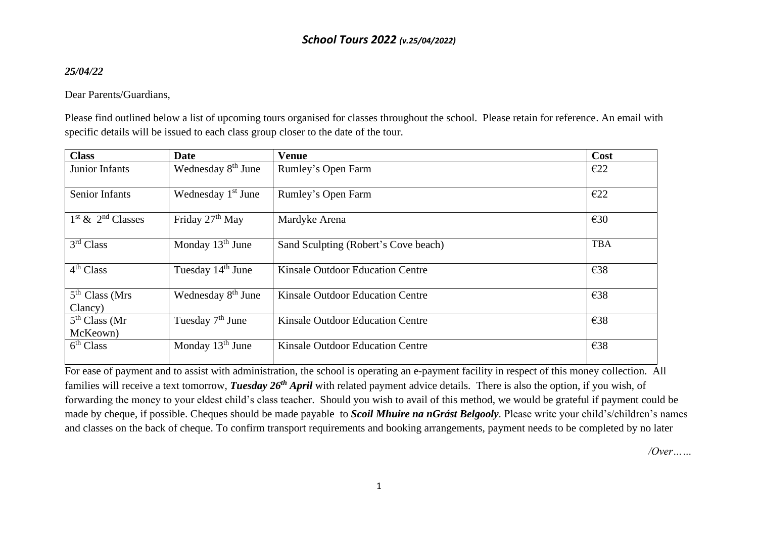# *School Tours 2022 (v.25/04/2022)*

### *25/04/22*

### Dear Parents/Guardians,

Please find outlined below a list of upcoming tours organised for classes throughout the school. Please retain for reference. An email with specific details will be issued to each class group closer to the date of the tour.

| <b>Class</b>                | <b>Date</b>                    | <b>Venue</b>                            | Cost       |
|-----------------------------|--------------------------------|-----------------------------------------|------------|
| Junior Infants              | Wednesday 8 <sup>th</sup> June | Rumley's Open Farm                      | E22        |
|                             |                                |                                         |            |
| <b>Senior Infants</b>       | Wednesday 1 <sup>st</sup> June | Rumley's Open Farm                      | E22        |
|                             |                                |                                         |            |
| $1st$ & $2nd$ Classes       | Friday 27 <sup>th</sup> May    | Mardyke Arena                           | E30        |
| 3rd Class                   | Monday $13th$ June             | Sand Sculpting (Robert's Cove beach)    | <b>TBA</b> |
|                             |                                |                                         |            |
| 4 <sup>th</sup> Class       | Tuesday 14 <sup>th</sup> June  | <b>Kinsale Outdoor Education Centre</b> | €38        |
|                             |                                |                                         |            |
| 5 <sup>th</sup> Class (Mrs) | Wednesday 8 <sup>th</sup> June | <b>Kinsale Outdoor Education Centre</b> | €38        |
| Clancy)                     |                                |                                         |            |
| 5 <sup>th</sup> Class (Mr)  | Tuesday $7th$ June             | Kinsale Outdoor Education Centre        | €38        |
| McKeown)                    |                                |                                         |            |
| 6 <sup>th</sup> Class       | Monday $13th$ June             | <b>Kinsale Outdoor Education Centre</b> | €38        |
|                             |                                |                                         |            |

For ease of payment and to assist with administration, the school is operating an e-payment facility in respect of this money collection. All families will receive a text tomorrow, *Tuesday 26th April* with related payment advice details. There is also the option, if you wish, of forwarding the money to your eldest child's class teacher. Should you wish to avail of this method, we would be grateful if payment could be made by cheque, if possible. Cheques should be made payable to *Scoil Mhuire na nGrást Belgooly.* Please write your child's/children's names and classes on the back of cheque. To confirm transport requirements and booking arrangements, payment needs to be completed by no later

*/Over……*